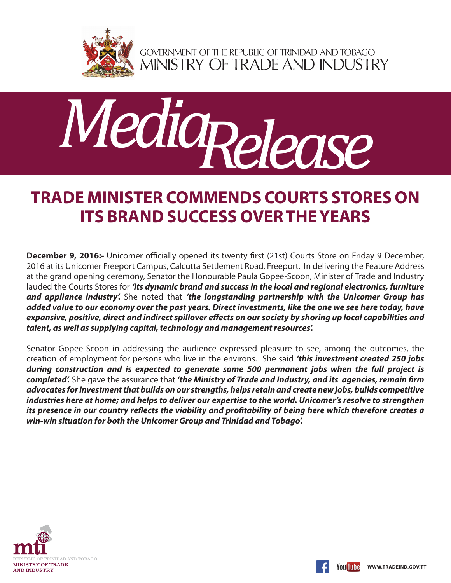

GOVERNMENT OF THE REPUBLIC OF TRINIDAD AND TOBAGO<br>MINISTRY OF TRADE AND INDUSTRY



## **TRADE MINISTER COMMENDS COURTS STORES ON ITS BRAND SUCCESS OVER THE YEARS**

**December 9, 2016:-** Unicomer officially opened its twenty first (21st) Courts Store on Friday 9 December, 2016 at its Unicomer Freeport Campus, Calcutta Settlement Road, Freeport. In delivering the Feature Address at the grand opening ceremony, Senator the Honourable Paula Gopee-Scoon, Minister of Trade and Industry lauded the Courts Stores for *'its dynamic brand and success in the local and regional electronics, furniture and appliance industry'.* She noted that *'the longstanding partnership with the Unicomer Group has added value to our economy over the past years. Direct investments, like the one we see here today, have expansive, positive, direct and indirect spillover effects on our society by shoring up local capabilities and talent, as well as supplying capital, technology and management resources'.*

Senator Gopee-Scoon in addressing the audience expressed pleasure to see, among the outcomes, the creation of employment for persons who live in the environs. She said *'this investment created 250 jobs during construction and is expected to generate some 500 permanent jobs when the full project is completed'.* She gave the assurance that *'the Ministry of Trade and Industry, and its agencies, remain firm advocates for investment that builds on our strengths, helps retain and create new jobs, builds competitive industries here at home; and helps to deliver our expertise to the world. Unicomer's resolve to strengthen its presence in our country reflects the viability and profitability of being here which therefore creates a win-win situation for both the Unicomer Group and Trinidad and Tobago'.*